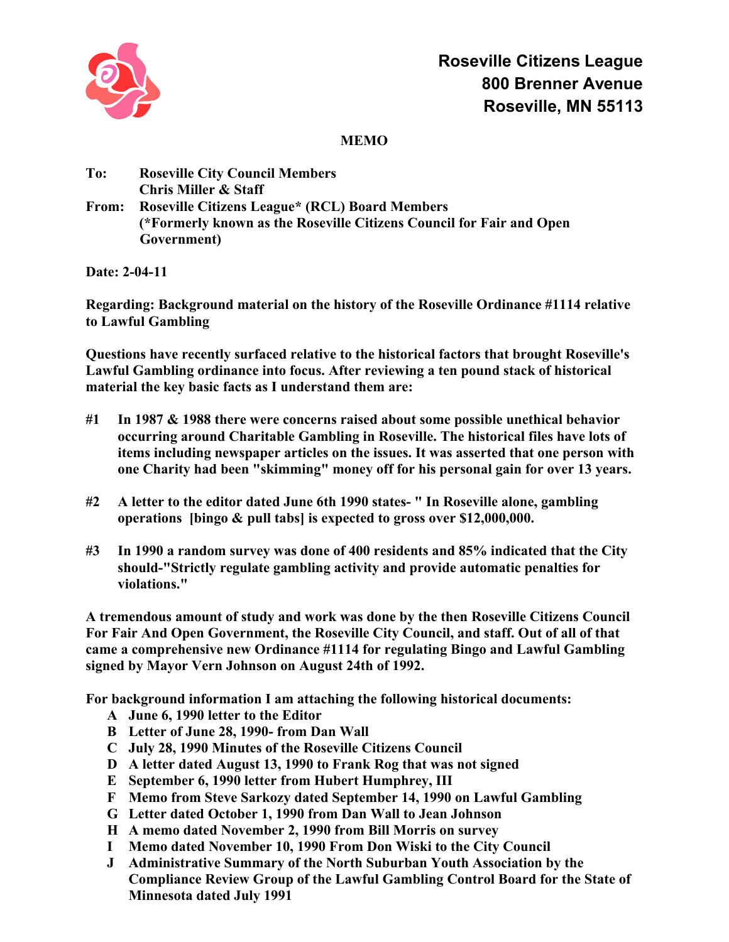

## **MEMO**

| To:   | <b>Roseville City Council Members</b>                                |
|-------|----------------------------------------------------------------------|
|       | <b>Chris Miller &amp; Staff</b>                                      |
| From: | <b>Roseville Citizens League* (RCL) Board Members</b>                |
|       | (*Formerly known as the Roseville Citizens Council for Fair and Open |
|       | Government)                                                          |

**Date: 2-04-11**

**Regarding: Background material on the history of the Roseville Ordinance #1114 relative to Lawful Gambling**

**Questions have recently surfaced relative to the historical factors that brought Roseville's Lawful Gambling ordinance into focus. After reviewing a ten pound stack of historical material the key basic facts as I understand them are:**

- **#1 In 1987 & 1988 there were concerns raised about some possible unethical behavior occurring around Charitable Gambling in Roseville. The historical files have lots of items including newspaper articles on the issues. It was asserted that one person with one Charity had been "skimming" money off for his personal gain for over 13 years.**
- **#2 A letter to the editor dated June 6th 1990 states- " In Roseville alone, gambling operations [bingo & pull tabs] is expected to gross over \$12,000,000.**
- **#3 In 1990 a random survey was done of 400 residents and 85% indicated that the City should-"Strictly regulate gambling activity and provide automatic penalties for violations."**

**A tremendous amount of study and work was done by the then Roseville Citizens Council For Fair And Open Government, the Roseville City Council, and staff. Out of all of that came a comprehensive new Ordinance #1114 for regulating Bingo and Lawful Gambling signed by Mayor Vern Johnson on August 24th of 1992.**

**For background information I am attaching the following historical documents:**

- **A June 6, 1990 letter to the Editor**
- **B Letter of June 28, 1990- from Dan Wall**
- **C July 28, 1990 Minutes of the Roseville Citizens Council**
- **D A letter dated August 13, 1990 to Frank Rog that was not signed**
- **E September 6, 1990 letter from Hubert Humphrey, III**
- **F Memo from Steve Sarkozy dated September 14, 1990 on Lawful Gambling**
- **G Letter dated October 1, 1990 from Dan Wall to Jean Johnson**
- **H A memo dated November 2, 1990 from Bill Morris on survey**
- **I Memo dated November 10, 1990 From Don Wiski to the City Council**
- **J Administrative Summary of the North Suburban Youth Association by the Compliance Review Group of the Lawful Gambling Control Board for the State of Minnesota dated July 1991**